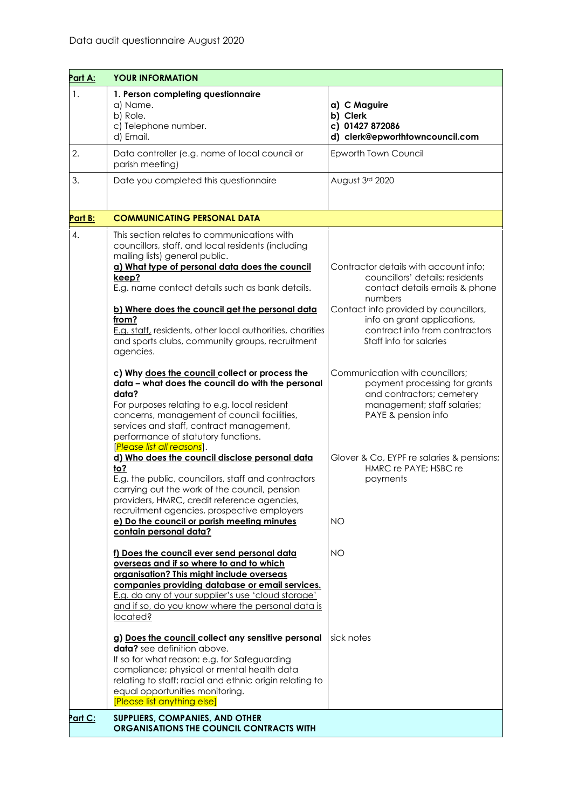| Part A: | <b>YOUR INFORMATION</b>                                                                                                                                                                                                                                                                                                                                                                                                                    |                                                                                                                                                                                                                                                            |
|---------|--------------------------------------------------------------------------------------------------------------------------------------------------------------------------------------------------------------------------------------------------------------------------------------------------------------------------------------------------------------------------------------------------------------------------------------------|------------------------------------------------------------------------------------------------------------------------------------------------------------------------------------------------------------------------------------------------------------|
| 1.      | 1. Person completing questionnaire<br>a) Name.<br>b) Role.<br>c) Telephone number.<br>d) Email.                                                                                                                                                                                                                                                                                                                                            | a) C Maguire<br>b) Clerk<br>c) 01427 872086<br>d) clerk@epworthtowncouncil.com                                                                                                                                                                             |
| 2.      | Data controller (e.g. name of local council or<br>parish meeting)                                                                                                                                                                                                                                                                                                                                                                          | Epworth Town Council                                                                                                                                                                                                                                       |
| 3.      | Date you completed this questionnaire                                                                                                                                                                                                                                                                                                                                                                                                      | August 3rd 2020                                                                                                                                                                                                                                            |
| Part B: | <b>COMMUNICATING PERSONAL DATA</b>                                                                                                                                                                                                                                                                                                                                                                                                         |                                                                                                                                                                                                                                                            |
| 4.      | This section relates to communications with<br>councillors, staff, and local residents (including<br>mailing lists) general public.<br>a) What type of personal data does the council<br>keep?<br>E.g. name contact details such as bank details.<br>b) Where does the council get the personal data<br>from?<br>E.g. staff, residents, other local authorities, charities<br>and sports clubs, community groups, recruitment<br>agencies. | Contractor details with account info;<br>councillors' details: residents<br>contact details emails & phone<br>numbers<br>Contact info provided by councillors,<br>info on grant applications,<br>contract info from contractors<br>Staff info for salaries |
|         | c) Why does the council collect or process the<br>data - what does the council do with the personal<br>data?<br>For purposes relating to e.g. local resident<br>concerns, management of council facilities,<br>services and staff, contract management,<br>performance of statutory functions.                                                                                                                                             | Communication with councillors;<br>payment processing for grants<br>and contractors; cemetery<br>management; staff salaries;<br>PAYE & pension info                                                                                                        |
|         | [Please list all reasons].<br>d) Who does the council disclose personal data<br>to?<br>E.g. the public, councillors, staff and contractors<br>carrying out the work of the council, pension<br>providers, HMRC, credit reference agencies,<br>recruitment agencies, prospective employers<br>e) Do the council or parish meeting minutes<br>contain personal data?                                                                         | Glover & Co, EYPF re salaries & pensions;<br>HMRC re PAYE; HSBC re<br>payments<br><b>NO</b>                                                                                                                                                                |
|         | f) Does the council ever send personal data<br>overseas and if so where to and to which<br>organisation? This might include overseas<br>companies providing database or email services.<br>E.g. do any of your supplier's use 'cloud storage'<br>and if so, do you know where the personal data is<br>located?                                                                                                                             | <b>NO</b>                                                                                                                                                                                                                                                  |
|         | g) Does the council collect any sensitive personal<br><b>data?</b> see definition above.<br>If so for what reason: e.g. for Safeguarding<br>compliance; physical or mental health data<br>relating to staff; racial and ethnic origin relating to<br>equal opportunities monitoring.<br>[Please list anything else]                                                                                                                        | sick notes                                                                                                                                                                                                                                                 |
| Part C: | SUPPLIERS, COMPANIES, AND OTHER<br>ORGANISATIONS THE COUNCIL CONTRACTS WITH                                                                                                                                                                                                                                                                                                                                                                |                                                                                                                                                                                                                                                            |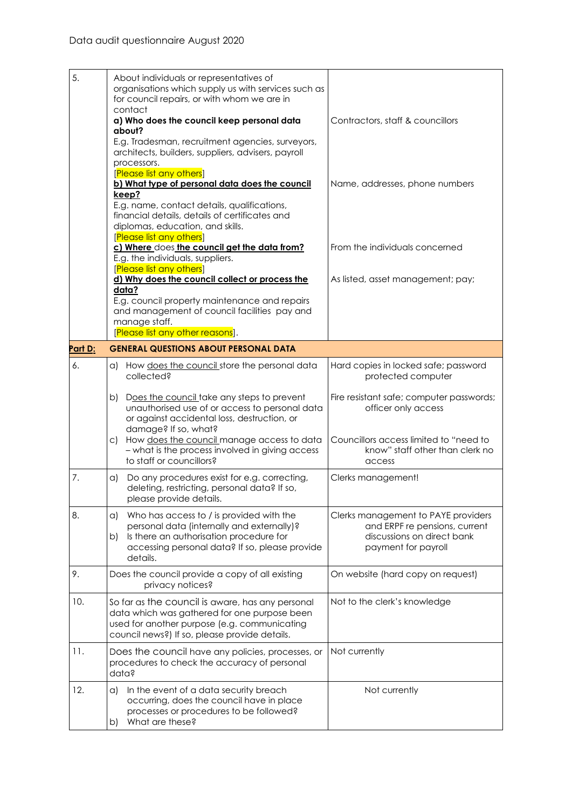| 5.      | About individuals or representatives of<br>organisations which supply us with services such as<br>for council repairs, or with whom we are in<br>contact<br>a) Who does the council keep personal data<br>about?<br>E.g. Tradesman, recruitment agencies, surveyors,<br>architects, builders, suppliers, advisers, payroll<br>processors. | Contractors, staff & councillors                                                                                                                       |
|---------|-------------------------------------------------------------------------------------------------------------------------------------------------------------------------------------------------------------------------------------------------------------------------------------------------------------------------------------------|--------------------------------------------------------------------------------------------------------------------------------------------------------|
|         | [Please list any others]<br>b) What type of personal data does the council<br>keep?<br>E.g. name, contact details, qualifications,<br>financial details, details of certificates and<br>diplomas, education, and skills.<br>[Please list any others]                                                                                      | Name, addresses, phone numbers                                                                                                                         |
|         | c) Where does the council get the data from?<br>E.g. the individuals, suppliers.<br>[Please list any others]                                                                                                                                                                                                                              | From the individuals concerned                                                                                                                         |
|         | d) Why does the council collect or process the<br>data?<br>E.g. council property maintenance and repairs<br>and management of council facilities pay and<br>manage staff.<br>[Please list any other reasons].                                                                                                                             | As listed, asset management; pay;                                                                                                                      |
| Part D: | <b>GENERAL QUESTIONS ABOUT PERSONAL DATA</b>                                                                                                                                                                                                                                                                                              |                                                                                                                                                        |
| 6.      | a) How does the council store the personal data<br>collected?                                                                                                                                                                                                                                                                             | Hard copies in locked safe; password<br>protected computer                                                                                             |
|         | Does the council take any steps to prevent<br>b)<br>unauthorised use of or access to personal data<br>or against accidental loss, destruction, or<br>damage? If so, what?<br>How does the council manage access to data<br>C).<br>- what is the process involved in giving access<br>to staff or councillors?                             | Fire resistant safe; computer passwords;<br>officer only access<br>Councillors access limited to "need to<br>know" staff other than clerk no<br>access |
| 7.      | Do any procedures exist for e.g. correcting,<br>a)<br>deleting, restricting, personal data? If so,<br>please provide details.                                                                                                                                                                                                             | Clerks management!                                                                                                                                     |
| 8.      | Who has access to / is provided with the<br>a)<br>personal data (internally and externally)?<br>Is there an authorisation procedure for<br>b)<br>accessing personal data? If so, please provide<br>details.                                                                                                                               | Clerks management to PAYE providers<br>and ERPF re pensions, current<br>discussions on direct bank<br>payment for payroll                              |
| 9.      | Does the council provide a copy of all existing<br>privacy notices?                                                                                                                                                                                                                                                                       | On website (hard copy on request)                                                                                                                      |
| 10.     | So far as the council is aware, has any personal<br>data which was gathered for one purpose been<br>used for another purpose (e.g. communicating<br>council news?) If so, please provide details.                                                                                                                                         | Not to the clerk's knowledge                                                                                                                           |
| 11.     | Does the council have any policies, processes, or<br>procedures to check the accuracy of personal<br>data?                                                                                                                                                                                                                                | Not currently                                                                                                                                          |
| 12.     | In the event of a data security breach<br>a)<br>occurring, does the council have in place<br>processes or procedures to be followed?<br>What are these?<br>b)                                                                                                                                                                             | Not currently                                                                                                                                          |